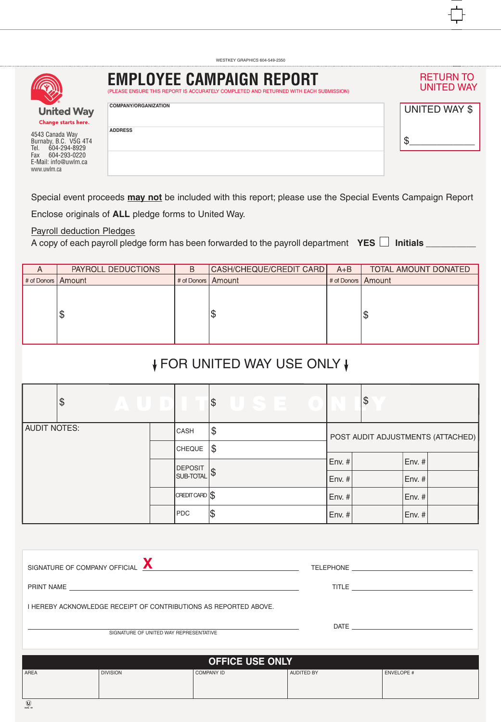| <b>IFC</b>                              | I<br>Έ |
|-----------------------------------------|--------|
| <b>United Way</b><br>Changa ctarte hara | Ć      |

4543 Canada Way Burnaby, B.C. V5G 4T4 Tel. 604-294-8929 Fax 604-293-0220 E-Mail: info@uwlm.ca www.uwlm.ca

| <b>EMPLOYEE CAMPAIGN REPORT</b><br>(PLEASE ENSURE THIS REPORT IS ACCURATELY COMPLETED AND RETURNED WITH EACH SUBMISSION) | <b>RETURN TO</b><br><b>UNITED WAY</b> |
|--------------------------------------------------------------------------------------------------------------------------|---------------------------------------|
| <b>COMPANY/ORGANIZATION</b>                                                                                              | UNITED WAY \$                         |
| <b>ADDRESS</b>                                                                                                           |                                       |
|                                                                                                                          |                                       |

Special event proceeds **may not** be included with this report; please use the Special Events Campaign Report Enclose originals of **ALL** pledge forms to United Way.

WESTKEY GRAPHICS 604-549-2350

Payroll deduction Pledges

A copy of each payroll pledge form has been forwarded to the payroll department  $YES \Box$  Initials

| PAYROLL DEDUCTIONS   | B | $A + B$              | TOTAL AMOUNT DONATED                            |
|----------------------|---|----------------------|-------------------------------------------------|
| # of Donors   Amount |   |                      |                                                 |
|                      |   |                      |                                                 |
|                      |   |                      |                                                 |
| \$                   |   |                      | \$                                              |
|                      |   |                      |                                                 |
|                      |   |                      |                                                 |
|                      |   | # of Donors   Amount | CASH/CHEQUE/CREDIT CARD<br># of Donors   Amount |

## ↓ FOR UNITED WAY USE ONLY ↓

| \$                  | VALUD.              |                                    | USE 0<br>$ \$$ |                                   | $\boldsymbol{\theta}$ |        |  |
|---------------------|---------------------|------------------------------------|----------------|-----------------------------------|-----------------------|--------|--|
| <b>AUDIT NOTES:</b> |                     | <b>CASH</b>                        | \$             | POST AUDIT ADJUSTMENTS (ATTACHED) |                       |        |  |
|                     | \$<br><b>CHEQUE</b> |                                    |                |                                   |                       |        |  |
|                     |                     | <b>DEPOSIT</b><br><b>SUB-TOTAL</b> | $ \$\$         | $\vert$ Env. # $\vert$            |                       | Env. # |  |
|                     |                     |                                    |                | $\vert$ Env. # $\vert$            |                       | Env. # |  |
|                     |                     | $CREDTCARD$ $$$                    |                | $\vert$ Env. # $\vert$            |                       | Env. # |  |
|                     |                     | PDC                                | 1\$            | $\vert$ Env. # $\vert$            |                       | Env. # |  |

| SIGNATURE OF COMPANY OFFICIAL |                                                                  | <u> 1989 - Andrea Andrew Maria (</u> 1989), politik eta esperantzaren 1980ean eta erromana eta erromana eta erromana e |                   |                   |
|-------------------------------|------------------------------------------------------------------|------------------------------------------------------------------------------------------------------------------------|-------------------|-------------------|
|                               |                                                                  |                                                                                                                        |                   |                   |
|                               | I HEREBY ACKNOWLEDGE RECEIPT OF CONTRIBUTIONS AS REPORTED ABOVE. |                                                                                                                        |                   |                   |
|                               | SIGNATURE OF UNITED WAY REPRESENTATIVE                           |                                                                                                                        |                   |                   |
|                               |                                                                  |                                                                                                                        |                   |                   |
|                               |                                                                  | <b>OFFICE USE ONLY</b>                                                                                                 |                   |                   |
| <b>AREA</b>                   | <b>DIVISION</b>                                                  | <b>COMPANY ID</b>                                                                                                      | <b>AUDITED BY</b> | <b>ENVELOPE #</b> |